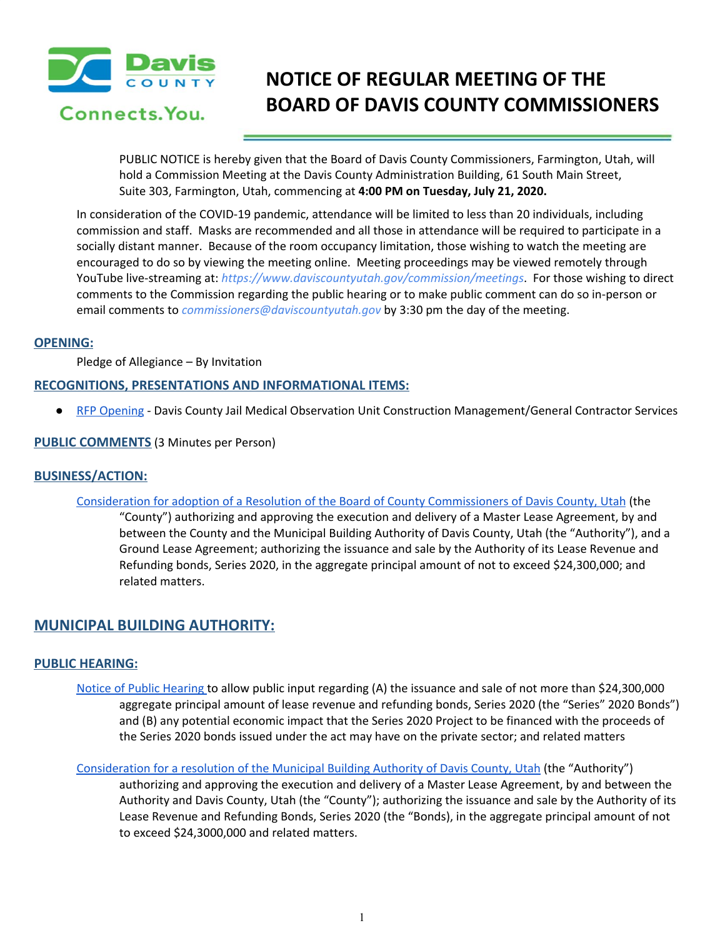

# **NOTICE OF REGULAR MEETING OF THE BOARD OF DAVIS COUNTY COMMISSIONERS**

PUBLIC NOTICE is hereby given that the Board of Davis County Commissioners, Farmington, Utah, will hold a Commission Meeting at the Davis County Administration Building, 61 South Main Street, Suite 303, Farmington, Utah, commencing at **4:00 PM on Tuesday, July 21, 2020.**

In consideration of the COVID-19 pandemic, attendance will be limited to less than 20 individuals, including commission and staff. Masks are recommended and all those in attendance will be required to participate in a socially distant manner. Because of the room occupancy limitation, those wishing to watch the meeting are encouraged to do so by viewing the meeting online. Meeting proceedings may be viewed remotely through YouTube live-streaming at: *https://www.daviscountyutah.gov/commission/meetings*. For those wishing to direct comments to the Commission regarding the public hearing or to make public comment can do so in-person or email comments to *commissioners@daviscountyutah.gov* by 3:30 pm the day of the meeting.

### **OPENING:**

Pledge of Allegiance – By Invitation

# **RECOGNITIONS, PRESENTATIONS AND INFORMATIONAL ITEMS:**

● RFP [Opening](https://drive.google.com/file/d/1FBrE-Rfquj5x0kjBflns295GWQ7fyv48/view?usp=drivesdk) - Davis County Jail Medical Observation Unit Construction Management/General Contractor Services

# **PUBLIC COMMENTS** (3 Minutes per Person)

# **BUSINESS/ACTION:**

Consideration for adoption of a Resolution of the Board of County [Commissioners](https://drive.google.com/file/d/1tgfxcEqD6KGaEbXYV31yxGnqfC_wlLWK/view?usp=drivesdk) of Davis County, Utah (the

"County") authorizing and approving the execution and delivery of a Master Lease Agreement, by and between the County and the Municipal Building Authority of Davis County, Utah (the "Authority"), and a Ground Lease Agreement; authorizing the issuance and sale by the Authority of its Lease Revenue and Refunding bonds, Series 2020, in the aggregate principal amount of not to exceed \$24,300,000; and related matters.

# **MUNICIPAL BUILDING AUTHORITY:**

# **PUBLIC HEARING:**

- Notice of Public [Hearing](https://drive.google.com/file/d/1u6rJJvp-05KqH7gjV7d9UT18DKOyfreu/view?usp=drivesdk) to allow public input regarding (A) the issuance and sale of not more than \$24,300,000 aggregate principal amount of lease revenue and refunding bonds, Series 2020 (the "Series" 2020 Bonds") and (B) any potential economic impact that the Series 2020 Project to be financed with the proceeds of the Series 2020 bonds issued under the act may have on the private sector; and related matter[s](https://drive.google.com/file/d/1u6rJJvp-05KqH7gjV7d9UT18DKOyfreu/view?usp=drivesdk)
- [Consideration](https://drive.google.com/file/d/14tUuuY-YHGtBN3blO4oemWhEgussBseO/view?usp=drivesdk) for a resolution of the Municipal Building Authority of Davis County, Utah (the "Authority")

authorizing and approving the execution and delivery of a Master Lease Agreement, by and between the Authority and Davis County, Utah (the "County"); authorizing the issuance and sale by the Authority of its Lease Revenue and Refunding Bonds, Series 2020 (the "Bonds), in the aggregate principal amount of not to exceed \$24,3000,000 and related matters[.](https://drive.google.com/file/d/14tUuuY-YHGtBN3blO4oemWhEgussBseO/view?usp=drivesdk)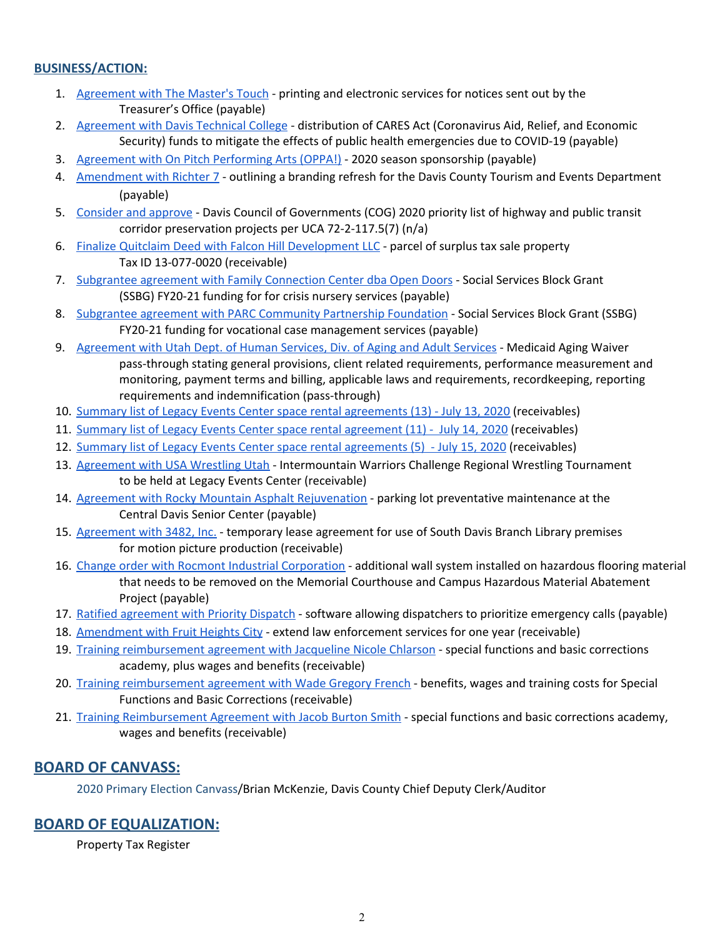# **BUSINESS/ACTION:**

- 1. [Agreement](https://drive.google.com/file/d/1NV7qpHrGoxrSzSEoeINq61vadPEhfqPE/view?usp=drivesdk) with The Master's Touch printing and electronic services for notices sent out by the Treasurer's Office (payable)
- 2. [Agreement](https://drive.google.com/file/d/1TH5m1MDzIh7Y3PIvCOhT7R6-Sc1JH5cp/view?usp=drivesdk) with Davis Technical College distribution of CARES Act (Coronavirus Aid, Relief, and Economic Security) funds to mitigate the effects of public health emergencies due to COVID-19 (payable)
- 3. Agreement with On Pitch [Performing](https://drive.google.com/file/d/1O4jWs2HiIvhuB31BnrloSQjEt0u-3gNU/view?usp=drivesdk) Arts (OPPA!) 2020 season sponsorship (payable)
- 4. [Amendment](https://drive.google.com/file/d/1K8jm__1MM80fzjgv_wJU4tbdIp63h7oP/view?usp=drivesdk) with Richter 7 outlining a branding refresh for the Davis County Tourism and Events Department (payable)
- 5. [Consider](https://drive.google.com/file/d/1aBnUqZ4vR6tCxy8XTvoGG2F3WcCIR1ST/view?usp=drivesdk) and approve Davis Council of Governments (COG) 2020 priority list of highway and public transit corridor preservation projects per UCA 72-2-117.5(7) (n/a)
- 6. Finalize Quitclaim Deed with Falcon Hill [Development](https://drive.google.com/file/d/1wmf_yFUsS91k99VwSjujfYkQcK-iLZMg/view?usp=drivesdk) LLC parcel of surplus tax sale property Tax ID 13-077-0020 (receivable)
- 7. [Subgrantee](https://drive.google.com/file/d/17Fq_lM6Xt4dwdhuYTul0ompUPy-s1Knr/view?usp=drivesdk) agreement with Family Connection Center dba Open Doors Social Services Block Grant (SSBG) FY20-21 funding for for crisis nursery services (payable)
- 8. Subgrantee agreement with PARC [Community](https://drive.google.com/file/d/1BzGTtS1UmLmMYxitYUvf3kskcKFmO2pD/view?usp=drivesdk) Partnership Foundation Social Services Block Grant (SSBG) FY20-21 funding for vocational case management services (payable)
- 9. [Agreement](https://drive.google.com/file/d/1GIGJ0Fxu3qMJeVCgU2o0iMPRfW2843Ti/view?usp=drivesdk) with Utah Dept. of Human Services, Div. of Aging and Adult Services Medicaid Aging Waiver pass-through stating general provisions, client related requirements, performance measurement and monitoring, payment terms and billing, applicable laws and requirements, recordkeeping, reporting requirements and indemnification (pass-through)
- 10. Summary list of Legacy Events Center space rental [agreements](https://drive.google.com/file/d/12QrQJeLMEoTSGK5enfVY9fmLatiDJs7E/view?usp=drivesdk) (13) July 13, 2020 (receivables)
- 11. Summary list of Legacy Events Center space rental [agreement](https://drive.google.com/file/d/1-sgNkKYYg4ELI-0eiJ6hXwaXMnNVxRe4/view?usp=drivesdk) (11) July 14, 2020 (receivables)
- 12. Summary list of Legacy Events Center space rental [agreements](https://drive.google.com/file/d/1blbwHq0JraxKTySslEBMYYOnv6F5tHFi/view?usp=drivesdk) (5) July 15, 2020 (receivables)
- 13. [Agreement](https://drive.google.com/file/d/1jGfyIvDQSL21o1zqNleLlplE-Fdf8ZT9/view?usp=drivesdk) with USA Wrestling Utah Intermountain Warriors Challenge Regional Wrestling Tournament to be held at Legacy Events Center (receivable)
- 14. Agreement with Rocky Mountain Asphalt [Rejuvenation](https://drive.google.com/file/d/1ppZxJlElHYKK8X2cTJW2TGZIxMk2EBMK/view?usp=drivesdk) parking lot preventative maintenance at the Central Davis Senior Center (payable)
- 15. [Agreement](https://drive.google.com/file/d/1H0Fh9h6A-PxFvN6V2-urNgvz_24x7524/view?usp=drivesdk) with 3482, Inc. temporary lease agreement for use of South Davis Branch Library premises for motion picture production (receivable)
- 16. Change order with Rocmont Industrial [Corporation](https://drive.google.com/file/d/1JuG7yN_0WQAQECtgKiEuP9EhnxbxqKX9/view?usp=drivesdk) additional wall system installed on hazardous flooring material that needs to be removed on the Memorial Courthouse and Campus Hazardous Material Abatement Project (payable)
- 17. Ratified [agreement](https://drive.google.com/file/d/1EyR4FUvQeQQ1k5v4PKTaJorWolpr6Gec/view?usp=drivesdk) with Priority Dispatch software allowing dispatchers to prioritize emergency calls (payable)
- 18. [Amendment](https://drive.google.com/file/d/1H0nAq8Es3fveb2fBM0QHYZxuW-eS-hQ4/view?usp=drivesdk) with Fruit Heights City extend law enforcement services for one year (receivable[\)](https://drive.google.com/file/d/1H0nAq8Es3fveb2fBM0QHYZxuW-eS-hQ4/view?usp=drivesdk)
- 19. Training [reimbursement](https://drive.google.com/file/d/14iqCmQWYC637ubzIcP4r6rANM8hI26rS/view?usp=drivesdk) agreement with Jacqueline Nicole Chlarson special functions and basic corrections academy, plus wages and benefits (receivable)
- 20. Training [reimbursement](https://drive.google.com/file/d/1wbPavzhXlZQ8lT9Fasc_XkJxd4s4hWbP/view?usp=drivesdk) agreement with Wade Gregory French benefits, wages and training costs for Special Functions and Basic Corrections (receivable)
- 21. Training [Reimbursement](https://drive.google.com/file/d/12aSOWwxChJoRBhVEEXDerozTC4J8tEhc/view?usp=drivesdk) Agreement with Jacob Burton Smith special functions and basic corrections academy, wages and benefits (receivable)

# **BOARD OF CANVASS:**

2020 Primary Election Canvass/Brian McKenzie, Davis County Chief Deputy Clerk/Auditor

# **BOARD OF EQUALIZATION:**

Property Tax Register